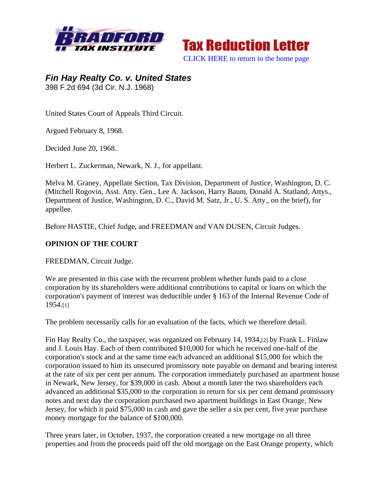



*Fin Hay Realty Co. v. United States*  398 F.2d 694 (3d Cir. N.J. 1968)

United States Court of Appeals Third Circuit.

Argued February 8, 1968.

Decided June 20, 1968.

Herbert L. Zuckerman, Newark, N. J., for appellant.

Melva M. Graney, Appellate Section, Tax Division, Department of Justice, Washington, D. C. (Mitchell Rogovin, Asst. Atty. Gen., Lee A. Jackson, Harry Baum, Donald A. Statland, Attys., Department of Justice, Washington, D. C., David M. Satz, Jr., U. S. Atty., on the brief), for appellee.

Before HASTIE, Chief Judge, and FREEDMAN and VAN DUSEN, Circuit Judges.

## **OPINION OF THE COURT**

FREEDMAN, Circuit Judge.

We are presented in this case with the recurrent problem whether funds paid to a close corporation by its shareholders were additional contributions to capital or loans on which the corporation's payment of interest was deductible under § 163 of the Internal Revenue Code of 1954.[1]

The problem necessarily calls for an evaluation of the facts, which we therefore detail.

Fin Hay Realty Co., the taxpayer, was organized on February 14, 1934,[2] by Frank L. Finlaw and J. Louis Hay. Each of them contributed \$10,000 for which he received one-half of the corporation's stock and at the same time each advanced an additional \$15,000 for which the corporation issued to him its unsecured promissory note payable on demand and bearing interest at the rate of six per cent per annum. The corporation immediately purchased an apartment house in Newark, New Jersey, for \$39,000 in cash. About a month later the two shareholders each advanced an additional \$35,000 to the corporation in return for six per cent demand promissory notes and next day the corporation purchased two apartment buildings in East Orange, New Jersey, for which it paid \$75,000 in cash and gave the seller a six per cent, five year purchase money mortgage for the balance of \$100,000.

Three years later, in October, 1937, the corporation created a new mortgage on all three properties and from the proceeds paid off the old mortgage on the East Orange property, which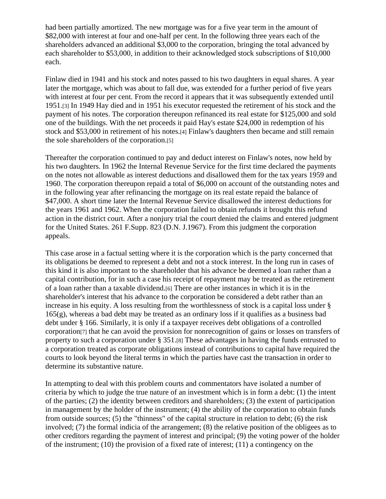had been partially amortized. The new mortgage was for a five year term in the amount of \$82,000 with interest at four and one-half per cent. In the following three years each of the shareholders advanced an additional \$3,000 to the corporation, bringing the total advanced by each shareholder to \$53,000, in addition to their acknowledged stock subscriptions of \$10,000 each.

Finlaw died in 1941 and his stock and notes passed to his two daughters in equal shares. A year later the mortgage, which was about to fall due, was extended for a further period of five years with interest at four per cent. From the record it appears that it was subsequently extended until 1951.[3] In 1949 Hay died and in 1951 his executor requested the retirement of his stock and the payment of his notes. The corporation thereupon refinanced its real estate for \$125,000 and sold one of the buildings. With the net proceeds it paid Hay's estate \$24,000 in redemption of his stock and \$53,000 in retirement of his notes.[4] Finlaw's daughters then became and still remain the sole shareholders of the corporation.[5]

Thereafter the corporation continued to pay and deduct interest on Finlaw's notes, now held by his two daughters. In 1962 the Internal Revenue Service for the first time declared the payments on the notes not allowable as interest deductions and disallowed them for the tax years 1959 and 1960. The corporation thereupon repaid a total of \$6,000 on account of the outstanding notes and in the following year after refinancing the mortgage on its real estate repaid the balance of \$47,000. A short time later the Internal Revenue Service disallowed the interest deductions for the years 1961 and 1962. When the corporation failed to obtain refunds it brought this refund action in the district court. After a nonjury trial the court denied the claims and entered judgment for the United States. 261 F.Supp. 823 (D.N. J.1967). From this judgment the corporation appeals.

This case arose in a factual setting where it is the corporation which is the party concerned that its obligations be deemed to represent a debt and not a stock interest. In the long run in cases of this kind it is also important to the shareholder that his advance be deemed a loan rather than a capital contribution, for in such a case his receipt of repayment may be treated as the retirement of a loan rather than a taxable dividend.[6] There are other instances in which it is in the shareholder's interest that his advance to the corporation be considered a debt rather than an increase in his equity. A loss resulting from the worthlessness of stock is a capital loss under §  $165(g)$ , whereas a bad debt may be treated as an ordinary loss if it qualifies as a business bad debt under § 166. Similarly, it is only if a taxpayer receives debt obligations of a controlled corporation[7] that he can avoid the provision for nonrecognition of gains or losses on transfers of property to such a corporation under § 351.[8] These advantages in having the funds entrusted to a corporation treated as corporate obligations instead of contributions to capital have required the courts to look beyond the literal terms in which the parties have cast the transaction in order to determine its substantive nature.

In attempting to deal with this problem courts and commentators have isolated a number of criteria by which to judge the true nature of an investment which is in form a debt: (1) the intent of the parties; (2) the identity between creditors and shareholders; (3) the extent of participation in management by the holder of the instrument; (4) the ability of the corporation to obtain funds from outside sources; (5) the "thinness" of the capital structure in relation to debt; (6) the risk involved; (7) the formal indicia of the arrangement; (8) the relative position of the obligees as to other creditors regarding the payment of interest and principal; (9) the voting power of the holder of the instrument; (10) the provision of a fixed rate of interest; (11) a contingency on the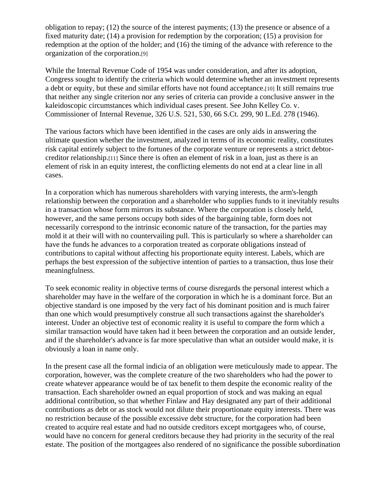obligation to repay; (12) the source of the interest payments; (13) the presence or absence of a fixed maturity date; (14) a provision for redemption by the corporation; (15) a provision for redemption at the option of the holder; and (16) the timing of the advance with reference to the organization of the corporation.[9]

While the Internal Revenue Code of 1954 was under consideration, and after its adoption, Congress sought to identify the criteria which would determine whether an investment represents a debt or equity, but these and similar efforts have not found acceptance.[10] It still remains true that neither any single criterion nor any series of criteria can provide a conclusive answer in the kaleidoscopic circumstances which individual cases present. See John Kelley Co. v. Commissioner of Internal Revenue, 326 U.S. 521, 530, 66 S.Ct. 299, 90 L.Ed. 278 (1946).

The various factors which have been identified in the cases are only aids in answering the ultimate question whether the investment, analyzed in terms of its economic reality, constitutes risk capital entirely subject to the fortunes of the corporate venture or represents a strict debtorcreditor relationship.[11] Since there is often an element of risk in a loan, just as there is an element of risk in an equity interest, the conflicting elements do not end at a clear line in all cases.

In a corporation which has numerous shareholders with varying interests, the arm's-length relationship between the corporation and a shareholder who supplies funds to it inevitably results in a transaction whose form mirrors its substance. Where the corporation is closely held, however, and the same persons occupy both sides of the bargaining table, form does not necessarily correspond to the intrinsic economic nature of the transaction, for the parties may mold it at their will with no countervailing pull. This is particularly so where a shareholder can have the funds he advances to a corporation treated as corporate obligations instead of contributions to capital without affecting his proportionate equity interest. Labels, which are perhaps the best expression of the subjective intention of parties to a transaction, thus lose their meaningfulness.

To seek economic reality in objective terms of course disregards the personal interest which a shareholder may have in the welfare of the corporation in which he is a dominant force. But an objective standard is one imposed by the very fact of his dominant position and is much fairer than one which would presumptively construe all such transactions against the shareholder's interest. Under an objective test of economic reality it is useful to compare the form which a similar transaction would have taken had it been between the corporation and an outside lender, and if the shareholder's advance is far more speculative than what an outsider would make, it is obviously a loan in name only.

In the present case all the formal indicia of an obligation were meticulously made to appear. The corporation, however, was the complete creature of the two shareholders who had the power to create whatever appearance would be of tax benefit to them despite the economic reality of the transaction. Each shareholder owned an equal proportion of stock and was making an equal additional contribution, so that whether Finlaw and Hay designated any part of their additional contributions as debt or as stock would not dilute their proportionate equity interests. There was no restriction because of the possible excessive debt structure, for the corporation had been created to acquire real estate and had no outside creditors except mortgagees who, of course, would have no concern for general creditors because they had priority in the security of the real estate. The position of the mortgagees also rendered of no significance the possible subordination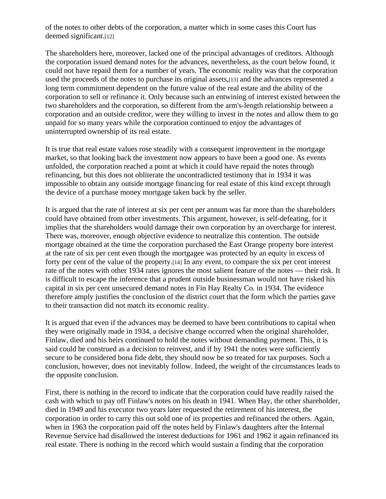of the notes to other debts of the corporation, a matter which in some cases this Court has deemed significant.[12]

The shareholders here, moreover, lacked one of the principal advantages of creditors. Although the corporation issued demand notes for the advances, nevertheless, as the court below found, it could not have repaid them for a number of years. The economic reality was that the corporation used the proceeds of the notes to purchase its original assets,[13] and the advances represented a long term commitment dependent on the future value of the real estate and the ability of the corporation to sell or refinance it. Only because such an entwining of interest existed between the two shareholders and the corporation, so different from the arm's-length relationship between a corporation and an outside creditor, were they willing to invest in the notes and allow them to go unpaid for so many years while the corporation continued to enjoy the advantages of uninterrupted ownership of its real estate.

It is true that real estate values rose steadily with a consequent improvement in the mortgage market, so that looking back the investment now appears to have been a good one. As events unfolded, the corporation reached a point at which it could have repaid the notes through refinancing, but this does not obliterate the uncontradicted testimony that in 1934 it was impossible to obtain any outside mortgage financing for real estate of this kind except through the device of a purchase money mortgage taken back by the seller.

It is argued that the rate of interest at six per cent per annum was far more than the shareholders could have obtained from other investments. This argument, however, is self-defeating, for it implies that the shareholders would damage their own corporation by an overcharge for interest. There was, moreover, enough objective evidence to neutralize this contention. The outside mortgage obtained at the time the corporation purchased the East Orange property bore interest at the rate of six per cent even though the mortgagee was protected by an equity in excess of forty per cent of the value of the property.[14] In any event, to compare the six per cent interest rate of the notes with other 1934 rates ignores the most salient feature of the notes — their risk. It is difficult to escape the inference that a prudent outside businessman would not have risked his capital in six per cent unsecured demand notes in Fin Hay Realty Co. in 1934. The evidence therefore amply justifies the conclusion of the district court that the form which the parties gave to their transaction did not match its economic reality.

It is argued that even if the advances may be deemed to have been contributions to capital when they were originally made in 1934, a decisive change occurred when the original shareholder, Finlaw, died and his heirs continued to hold the notes without demanding payment. This, it is said could be construed as a decision to reinvest, and if by 1941 the notes were sufficiently secure to be considered bona fide debt, they should now be so treated for tax purposes. Such a conclusion, however, does not inevitably follow. Indeed, the weight of the circumstances leads to the opposite conclusion.

First, there is nothing in the record to indicate that the corporation could have readily raised the cash with which to pay off Finlaw's notes on his death in 1941. When Hay, the other shareholder, died in 1949 and his executor two years later requested the retirement of his interest, the corporation in order to carry this out sold one of its properties and refinanced the others. Again, when in 1963 the corporation paid off the notes held by Finlaw's daughters after the Internal Revenue Service had disallowed the interest deductions for 1961 and 1962 it again refinanced its real estate. There is nothing in the record which would sustain a finding that the corporation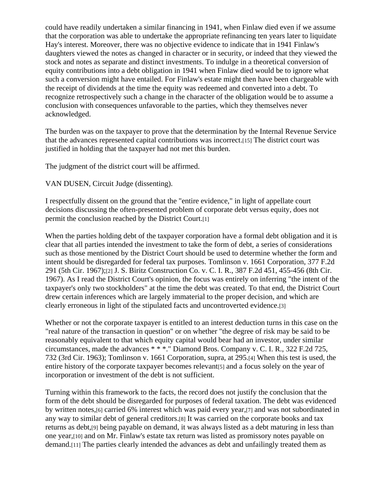could have readily undertaken a similar financing in 1941, when Finlaw died even if we assume that the corporation was able to undertake the appropriate refinancing ten years later to liquidate Hay's interest. Moreover, there was no objective evidence to indicate that in 1941 Finlaw's daughters viewed the notes as changed in character or in security, or indeed that they viewed the stock and notes as separate and distinct investments. To indulge in a theoretical conversion of equity contributions into a debt obligation in 1941 when Finlaw died would be to ignore what such a conversion might have entailed. For Finlaw's estate might then have been chargeable with the receipt of dividends at the time the equity was redeemed and converted into a debt. To recognize retrospectively such a change in the character of the obligation would be to assume a conclusion with consequences unfavorable to the parties, which they themselves never acknowledged.

The burden was on the taxpayer to prove that the determination by the Internal Revenue Service that the advances represented capital contributions was incorrect.[15] The district court was justified in holding that the taxpayer had not met this burden.

The judgment of the district court will be affirmed.

VAN DUSEN, Circuit Judge (dissenting).

I respectfully dissent on the ground that the "entire evidence," in light of appellate court decisions discussing the often-presented problem of corporate debt versus equity, does not permit the conclusion reached by the District Court.[1]

When the parties holding debt of the taxpayer corporation have a formal debt obligation and it is clear that all parties intended the investment to take the form of debt, a series of considerations such as those mentioned by the District Court should be used to determine whether the form and intent should be disregarded for federal tax purposes. Tomlinson v. 1661 Corporation, 377 F.2d 291 (5th Cir. 1967);[2] J. S. Biritz Construction Co. v. C. I. R., 387 F.2d 451, 455-456 (8th Cir. 1967). As I read the District Court's opinion, the focus was entirely on inferring "the intent of the taxpayer's only two stockholders" at the time the debt was created. To that end, the District Court drew certain inferences which are largely immaterial to the proper decision, and which are clearly erroneous in light of the stipulated facts and uncontroverted evidence.[3]

Whether or not the corporate taxpayer is entitled to an interest deduction turns in this case on the "real nature of the transaction in question" or on whether "the degree of risk may be said to be reasonably equivalent to that which equity capital would bear had an investor, under similar circumstances, made the advances \* \* \*." Diamond Bros. Company v. C. I. R., 322 F.2d 725, 732 (3rd Cir. 1963); Tomlinson v. 1661 Corporation, supra, at 295.[4] When this test is used, the entire history of the corporate taxpayer becomes relevant[5] and a focus solely on the year of incorporation or investment of the debt is not sufficient.

Turning within this framework to the facts, the record does not justify the conclusion that the form of the debt should be disregarded for purposes of federal taxation. The debt was evidenced by written notes,[6] carried 6% interest which was paid every year,[7] and was not subordinated in any way to similar debt of general creditors.[8] It was carried on the corporate books and tax returns as debt,[9] being payable on demand, it was always listed as a debt maturing in less than one year,[10] and on Mr. Finlaw's estate tax return was listed as promissory notes payable on demand.[11] The parties clearly intended the advances as debt and unfailingly treated them as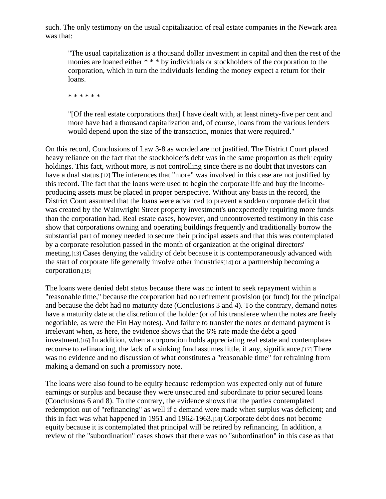such. The only testimony on the usual capitalization of real estate companies in the Newark area was that:

"The usual capitalization is a thousand dollar investment in capital and then the rest of the monies are loaned either  $***$  by individuals or stockholders of the corporation to the corporation, which in turn the individuals lending the money expect a return for their loans.

\* \* \* \* \* \*

"[Of the real estate corporations that] I have dealt with, at least ninety-five per cent and more have had a thousand capitalization and, of course, loans from the various lenders would depend upon the size of the transaction, monies that were required."

On this record, Conclusions of Law 3-8 as worded are not justified. The District Court placed heavy reliance on the fact that the stockholder's debt was in the same proportion as their equity holdings. This fact, without more, is not controlling since there is no doubt that investors can have a dual status.[12] The inferences that "more" was involved in this case are not justified by this record. The fact that the loans were used to begin the corporate life and buy the incomeproducing assets must be placed in proper perspective. Without any basis in the record, the District Court assumed that the loans were advanced to prevent a sudden corporate deficit that was created by the Wainwright Street property investment's unexpectedly requiring more funds than the corporation had. Real estate cases, however, and uncontroverted testimony in this case show that corporations owning and operating buildings frequently and traditionally borrow the substantial part of money needed to secure their principal assets and that this was contemplated by a corporate resolution passed in the month of organization at the original directors' meeting.[13] Cases denying the validity of debt because it is contemporaneously advanced with the start of corporate life generally involve other industries[14] or a partnership becoming a corporation.[15]

The loans were denied debt status because there was no intent to seek repayment within a "reasonable time," because the corporation had no retirement provision (or fund) for the principal and because the debt had no maturity date (Conclusions 3 and 4). To the contrary, demand notes have a maturity date at the discretion of the holder (or of his transferee when the notes are freely negotiable, as were the Fin Hay notes). And failure to transfer the notes or demand payment is irrelevant when, as here, the evidence shows that the 6% rate made the debt a good investment.[16] In addition, when a corporation holds appreciating real estate and contemplates recourse to refinancing, the lack of a sinking fund assumes little, if any, significance.[17] There was no evidence and no discussion of what constitutes a "reasonable time" for refraining from making a demand on such a promissory note.

The loans were also found to be equity because redemption was expected only out of future earnings or surplus and because they were unsecured and subordinate to prior secured loans (Conclusions 6 and 8). To the contrary, the evidence shows that the parties contemplated redemption out of "refinancing" as well if a demand were made when surplus was deficient; and this in fact was what happened in 1951 and 1962-1963.[18] Corporate debt does not become equity because it is contemplated that principal will be retired by refinancing. In addition, a review of the "subordination" cases shows that there was no "subordination" in this case as that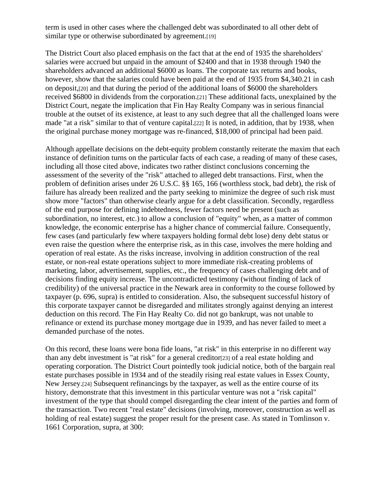term is used in other cases where the challenged debt was subordinated to all other debt of similar type or otherwise subordinated by agreement.[19]

The District Court also placed emphasis on the fact that at the end of 1935 the shareholders' salaries were accrued but unpaid in the amount of \$2400 and that in 1938 through 1940 the shareholders advanced an additional \$6000 as loans. The corporate tax returns and books, however, show that the salaries could have been paid at the end of 1935 from \$4,340.21 in cash on deposit,[20] and that during the period of the additional loans of \$6000 the shareholders received \$6800 in dividends from the corporation.[21] These additional facts, unexplained by the District Court, negate the implication that Fin Hay Realty Company was in serious financial trouble at the outset of its existence, at least to any such degree that all the challenged loans were made "at a risk" similar to that of venture capital.[22] It is noted, in addition, that by 1938, when the original purchase money mortgage was re-financed, \$18,000 of principal had been paid.

Although appellate decisions on the debt-equity problem constantly reiterate the maxim that each instance of definition turns on the particular facts of each case, a reading of many of these cases, including all those cited above, indicates two rather distinct conclusions concerning the assessment of the severity of the "risk" attached to alleged debt transactions. First, when the problem of definition arises under 26 U.S.C. §§ 165, 166 (worthless stock, bad debt), the risk of failure has already been realized and the party seeking to minimize the degree of such risk must show more "factors" than otherwise clearly argue for a debt classification. Secondly, regardless of the end purpose for defining indebtedness, fewer factors need be present (such as subordination, no interest, etc.) to allow a conclusion of "equity" when, as a matter of common knowledge, the economic enterprise has a higher chance of commercial failure. Consequently, few cases (and particularly few where taxpayers holding formal debt lose) deny debt status or even raise the question where the enterprise risk, as in this case, involves the mere holding and operation of real estate. As the risks increase, involving in addition construction of the real estate, or non-real estate operations subject to more immediate risk-creating problems of marketing, labor, advertisement, supplies, etc., the frequency of cases challenging debt and of decisions finding equity increase. The uncontradicted testimony (without finding of lack of credibility) of the universal practice in the Newark area in conformity to the course followed by taxpayer (p. 696, supra) is entitled to consideration. Also, the subsequent successful history of this corporate taxpayer cannot be disregarded and militates strongly against denying an interest deduction on this record. The Fin Hay Realty Co. did not go bankrupt, was not unable to refinance or extend its purchase money mortgage due in 1939, and has never failed to meet a demanded purchase of the notes.

On this record, these loans were bona fide loans, "at risk" in this enterprise in no different way than any debt investment is "at risk" for a general creditor[23] of a real estate holding and operating corporation. The District Court pointedly took judicial notice, both of the bargain real estate purchases possible in 1934 and of the steadily rising real estate values in Essex County, New Jersey.[24] Subsequent refinancings by the taxpayer, as well as the entire course of its history, demonstrate that this investment in this particular venture was not a "risk capital" investment of the type that should compel disregarding the clear intent of the parties and form of the transaction. Two recent "real estate" decisions (involving, moreover, construction as well as holding of real estate) suggest the proper result for the present case. As stated in Tomlinson v. 1661 Corporation, supra, at 300: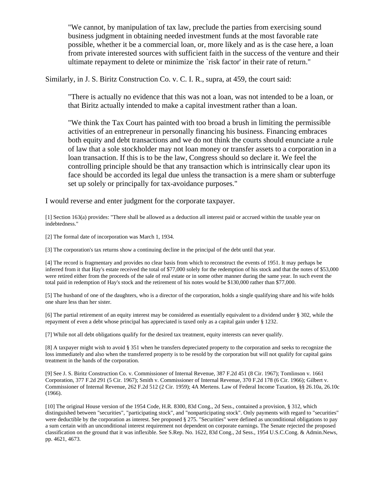"We cannot, by manipulation of tax law, preclude the parties from exercising sound business judgment in obtaining needed investment funds at the most favorable rate possible, whether it be a commercial loan, or, more likely and as is the case here, a loan from private interested sources with sufficient faith in the success of the venture and their ultimate repayment to delete or minimize the `risk factor' in their rate of return."

Similarly, in J. S. Biritz Construction Co. v. C. I. R., supra, at 459, the court said:

"There is actually no evidence that this was not a loan, was not intended to be a loan, or that Biritz actually intended to make a capital investment rather than a loan.

"We think the Tax Court has painted with too broad a brush in limiting the permissible activities of an entrepreneur in personally financing his business. Financing embraces both equity and debt transactions and we do not think the courts should enunciate a rule of law that a sole stockholder may not loan money or transfer assets to a corporation in a loan transaction. If this is to be the law, Congress should so declare it. We feel the controlling principle should be that any transaction which is intrinsically clear upon its face should be accorded its legal due unless the transaction is a mere sham or subterfuge set up solely or principally for tax-avoidance purposes."

I would reverse and enter judgment for the corporate taxpayer.

[1] Section 163(a) provides: "There shall be allowed as a deduction all interest paid or accrued within the taxable year on indebtedness."

[2] The formal date of incorporation was March 1, 1934.

[3] The corporation's tax returns show a continuing decline in the principal of the debt until that year.

[4] The record is fragmentary and provides no clear basis from which to reconstruct the events of 1951. It may perhaps be inferred from it that Hay's estate received the total of \$77,000 solely for the redemption of his stock and that the notes of \$53,000 were retired either from the proceeds of the sale of real estate or in some other manner during the same year. In such event the total paid in redemption of Hay's stock and the retirement of his notes would be \$130,000 rather than \$77,000.

[5] The husband of one of the daughters, who is a director of the corporation, holds a single qualifying share and his wife holds one share less than her sister.

[6] The partial retirement of an equity interest may be considered as essentially equivalent to a dividend under § 302, while the repayment of even a debt whose principal has appreciated is taxed only as a capital gain under § 1232.

[7] While not all debt obligations qualify for the desired tax treatment, equity interests can never qualify.

[8] A taxpayer might wish to avoid § 351 when he transfers depreciated property to the corporation and seeks to recognize the loss immediately and also when the transferred property is to be resold by the corporation but will not qualify for capital gains treatment in the hands of the corporation.

[9] See J. S. Biritz Construction Co. v. Commissioner of Internal Revenue, 387 F.2d 451 (8 Cir. 1967); Tomlinson v. 1661 Corporation, 377 F.2d 291 (5 Cir. 1967); Smith v. Commissioner of Internal Revenue, 370 F.2d 178 (6 Cir. 1966); Gilbert v. Commissioner of Internal Revenue, 262 F.2d 512 (2 Cir. 1959); 4A Mertens. Law of Federal Income Taxation, §§ 26.10a, 26.10c (1966).

[10] The original House version of the 1954 Code, H.R. 8300, 83d Cong., 2d Sess., contained a provision, § 312, which distinguished between "securities", "participating stock", and "nonparticipating stock". Only payments with regard to "securities" were deductible by the corporation as interest. See proposed § 275. "Securities" were defined as unconditional obligations to pay a sum certain with an unconditional interest requirement not dependent on corporate earnings. The Senate rejected the proposed classification on the ground that it was inflexible. See S.Rep. No. 1622, 83d Cong., 2d Sess., 1954 U.S.C.Cong. & Admin.News, pp. 4621, 4673.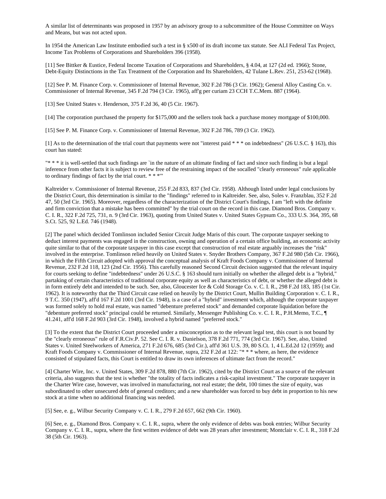A similar list of determinants was proposed in 1957 by an advisory group to a subcommittee of the House Committee on Ways and Means, but was not acted upon.

In 1954 the American Law Institute embodied such a test in § x500 of its draft income tax statute. See ALI Federal Tax Project, Income Tax Problems of Corporations and Shareholders 396 (1958).

[11] See Bittker & Eustice, Federal Income Taxation of Corporations and Shareholders, § 4.04, at 127 (2d ed. 1966); Stone, Debt-Equity Distinctions in the Tax Treatment of the Corporation and Its Shareholders, 42 Tulane L.Rev. 251, 253-62 (1968).

[12] See P. M. Finance Corp. v. Commissioner of Internal Revenue, 302 F.2d 786 (3 Cir. 1962); General Alloy Casting Co. v. Commissioner of Internal Revenue, 345 F.2d 794 (3 Cir. 1965), aff'g per curiam 23 CCH T.C.Mem. 887 (1964).

[13] See United States v. Henderson, 375 F.2d 36, 40 (5 Cir. 1967).

[14] The corporation purchased the property for \$175,000 and the sellers took back a purchase money mortgage of \$100,000.

[15] See P. M. Finance Corp. v. Commissioner of Internal Revenue, 302 F.2d 786, 789 (3 Cir. 1962).

[1] As to the determination of the trial court that payments were not "interest paid \* \* \* on indebtedness" (26 U.S.C. § 163), this court has stated:

"\* \* \* it is well-settled that such findings are `in the nature of an ultimate finding of fact and since such finding is but a legal inference from other facts it is subject to review free of the restraining impact of the socalled "clearly erroneous" rule applicable to ordinary findings of fact by the trial court. \* \* \*'"

Kaltreider v. Commissioner of Internal Revenue, 255 F.2d 833, 837 (3rd Cir. 1958). Although listed under legal conclusions by the District Court, this determination is similar to the "findings" referred to in Kaltreider. See, also, Soles v. Franzblau, 352 F.2d 47, 50 (3rd Cir. 1965). Moreover, regardless of the characterization of the District Court's findings, I am "left with the definite and firm conviction that a mistake has been committed" by the trial court on the record in this case. Diamond Bros. Company v. C. I. R., 322 F.2d 725, 731, n. 9 (3rd Cir. 1963), quoting from United States v. United States Gypsum Co., 333 U.S. 364, 395, 68 S.Ct. 525, 92 L.Ed. 746 (1948).

[2] The panel which decided Tomlinson included Senior Circuit Judge Maris of this court. The corporate taxpayer seeking to deduct interest payments was engaged in the construction, owning and operation of a certain office building, an economic activity quite similar to that of the corporate taxpayer in this case except that construction of real estate arguably increases the "risk" involved in the enterprise. Tomlinson relied heavily on United States v. Snyder Brothers Company, 367 F.2d 980 (5th Cir. 1966), in which the Fifth Circuit adopted with approval the conceptual analysis of Kraft Foods Company v. Commissioner of Internal Revenue, 232 F.2d 118, 123 (2nd Cir. 1956). This carefully reasoned Second Circuit decision suggested that the relevant inquiry for courts seeking to define "indebtedness" under 26 U.S.C. § 163 should turn initially on whether the alleged debt is a "hybrid," partaking of certain characteristics of traditional corporate equity as well as characteristics of debt, or whether the alleged debt is in form entirely debt and intended to be such. See, also, Gloucester Ice & Cold Storage Co. v. C. I. R., 298 F.2d 183, 185 (1st Cir. 1962). It is noteworthy that the Third Circuit case relied on heavily by the District Court, Mullin Building Corporation v. C. I. R., 9 T.C. 350 (1947), aff'd 167 F.2d 1001 (3rd Cir. 1948), is a case of a "hybrid" investment which, although the corporate taxpayer was formed solely to hold real estate, was named "debenture preferred stock" and demanded corporate liquidation before the "debenture preferred stock" principal could be returned. Similarly, Messenger Publishing Co. v. C. I. R., P.H.Memo, T.C., ¶ 41.241, aff'd 168 F.2d 903 (3rd Cir. 1948), involved a hybrid named "preferred stock."

[3] To the extent that the District Court proceeded under a misconception as to the relevant legal test, this court is not bound by the "clearly erroneous" rule of F.R.Civ.P. 52. See C. I. R. v. Danielson, 378 F.2d 771, 774 (3rd Cir. 1967). See, also, United States v. United Steelworkers of America, 271 F.2d 676, 685 (3rd Cir.), aff'd 361 U.S. 39, 80 S.Ct. 1, 4 L.Ed.2d 12 (1959); and Kraft Foods Company v. Commissioner of Internal Revenue, supra, 232 F.2d at 122: "\* \* \* where, as here, the evidence consisted of stipulated facts, this Court is entitled to draw its own inferences of ultimate fact from the record."

[4] Charter Wire, Inc. v. United States, 309 F.2d 878, 880 (7th Cir. 1962), cited by the District Court as a source of the relevant criteria, also suggests that the test is whether "the totality of facts indicates a risk-capital investment." The corporate taxpayer in the Charter Wire case, however, was involved in manufacturing, not real estate; the debt, 100 times the size of equity, was subordinated to other unsecured debt of general creditors; and a new shareholder was forced to buy debt in proportion to his new stock at a time when no additional financing was needed.

[5] See, e. g., Wilbur Security Company v. C. I. R., 279 F.2d 657, 662 (9th Cir. 1960).

[6] See, e. g., Diamond Bros. Company v. C. I. R., supra, where the only evidence of debts was book entries; Wilbur Security Company v. C. I. R., supra, where the first written evidence of debt was 28 years after investment; Montclair v. C. I. R., 318 F.2d 38 (5th Cir. 1963).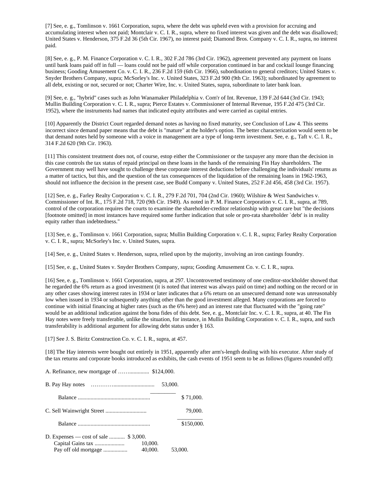[7] See, e. g., Tomlinson v. 1661 Corporation, supra, where the debt was upheld even with a provision for accruing and accumulating interest when not paid; Montclair v. C. I. R., supra, where no fixed interest was given and the debt was disallowed; United States v. Henderson, 375 F.2d 36 (5th Cir. 1967), no interest paid; Diamond Bros. Company v. C. I. R., supra, no interest paid.

[8] See, e. g., P. M. Finance Corporation v. C. I. R., 302 F.2d 786 (3rd Cir. 1962), agreement prevented any payment on loans until bank loans paid off in full — loans could not be paid off while corporation continued in bar and cocktail lounge financing business; Gooding Amusement Co. v. C. I. R., 236 F.2d 159 (6th Cir. 1966), subordination to general creditors; United States v. Snyder Brothers Company, supra; McSorley's Inc. v. United States, 323 F.2d 900 (9th Cir. 1963); subordinated by agreement to all debt, existing or not, secured or not; Charter Wire, Inc. v. United States, supra, subordinate to later bank loan.

[9] See, e. g., "hybrid" cases such as John Wanamaker Philadelphia v. Com'r of Int. Revenue, 139 F.2d 644 (3rd Cir. 1943; Mullin Building Corporation v. C. I. R., supra; Pierce Estates v. Commissioner of Internal Revenue, 195 F.2d 475 (3rd Cir. 1952), where the instruments had names that indicated equity attributes and were carried as capital entries.

[10] Apparently the District Court regarded demand notes as having no fixed maturity, see Conclusion of Law 4. This seems incorrect since demand paper means that the debt is "mature" at the holder's option. The better characterization would seem to be that demand notes held by someone with a voice in management are a type of long-term investment. See, e. g., Taft v. C. I. R., 314 F.2d 620 (9th Cir. 1963).

[11] This consistent treatment does not, of course, estop either the Commissioner or the taxpayer any more than the decision in this case controls the tax status of repaid principal on these loans in the hands of the remaining Fin Hay shareholders. The Government may well have sought to challenge these corporate interest deductions before challenging the individuals' returns as a matter of tactics, but this, and the question of the tax consequences of the liquidation of the remaining loans in 1962-1963, should not influence the decision in the present case, see Budd Company v. United States, 252 F.2d 456, 458 (3rd Cir. 1957).

[12] See, e. g., Farley Realty Corporation v. C. I. R., 279 F.2d 701, 704 (2nd Cir. 1960); Wilshire & West Sandwiches v. Commissioner of Int. R., 175 F.2d 718, 720 (9th Cir. 1949). As noted in P. M. Finance Corporation v. C. I. R., supra, at 789, control of the corporation requires the courts to examine the shareholder-creditor relationship with great care but "the decisions [footnote omitted] in most instances have required some further indication that sole or pro-rata shareholder `debt' is in reality equity rather than indebtedness."

[13] See, e. g., Tomlinson v. 1661 Corporation, supra; Mullin Building Corporation v. C. I. R., supra; Farley Realty Corporation v. C. I. R., supra; McSorley's Inc. v. United States, supra.

[14] See, e. g., United States v. Henderson, supra, relied upon by the majority, involving an iron castings foundry.

[15] See, e. g., United States v. Snyder Brothers Company, supra; Gooding Amusement Co. v. C. I. R., supra.

[16] See, e. g., Tomlinson v. 1661 Corporation, supra, at 297. Uncontroverted testimony of one creditor-stockholder showed that he regarded the 6% return as a good investment (it is noted that interest was always paid on time) and nothing on the record or in any other cases showing interest rates in 1934 or later indicates that a 6% return on an unsecured demand note was unreasonably low when issued in 1934 or subsequently anything other than the good investment alleged. Many corporations are forced to continue with initial financing at higher rates (such as the 6% here) and an interest rate that fluctuated with the "going rate" would be an additional indication against the bona fides of this debt. See, e. g., Montclair Inc. v. C. I. R., supra, at 40. The Fin Hay notes were freely transferable, unlike the situation, for instance, in Mullin Building Corporation v. C. I. R., supra, and such transferability is additional argument for allowing debt status under § 163.

[17] See J. S. Biritz Construction Co. v. C. I. R., supra, at 457.

[18] The Hay interests were bought out entirely in 1951, apparently after arm's-length dealing with his executor. After study of the tax returns and corporate books introduced as exhibits, the cash events of 1951 seem to be as follows (figures rounded off):

A. Refinance, new mortgage of …….............. \$124,000.

| B. Pay Hay notes                                              |                    | 53,000. |            |
|---------------------------------------------------------------|--------------------|---------|------------|
|                                                               |                    |         | \$71,000.  |
|                                                               |                    |         | 79,000.    |
|                                                               |                    |         | \$150,000. |
| D. Expenses — cost of sale $$3,000$ .<br>Pay off old mortgage | 10,000.<br>40,000. |         | 53,000.    |